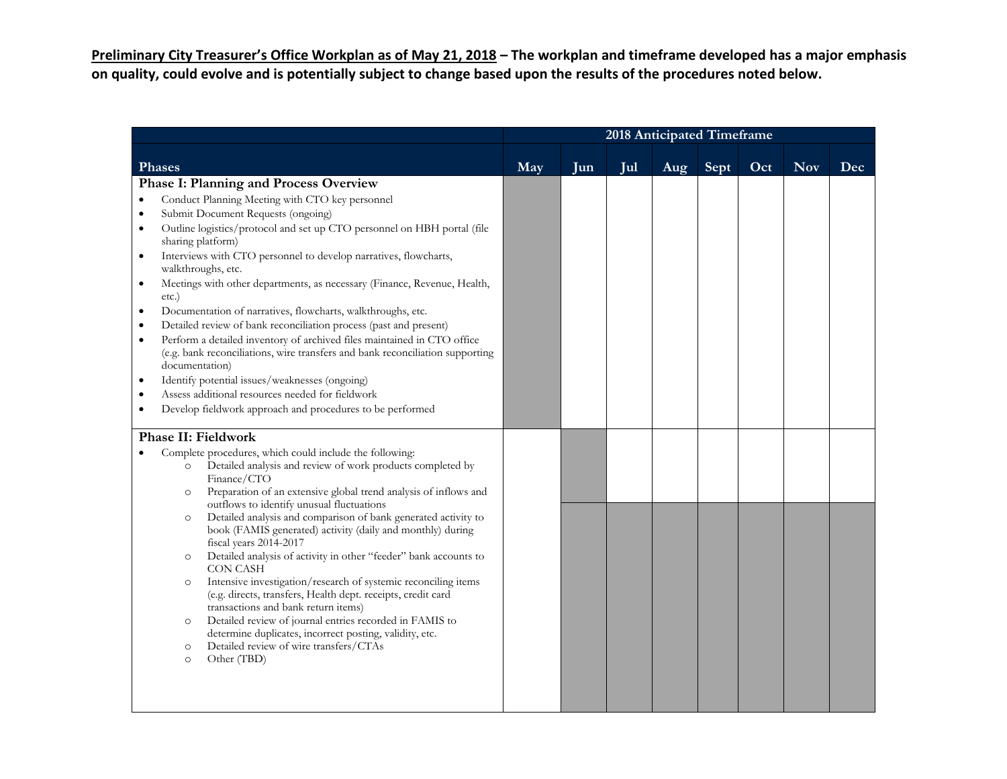**Preliminary City Treasurer's Office Workplan as of May 21, 2018 – The workplan and timeframe developed has a major emphasis on quality, could evolve and is potentially subject to change based upon the results of the procedures noted below.** 

|                                                                                                                                                                                                                                                                                                                                                                                                                                                                                                                                                                                                                                                                                                                                                                                                                                                                                                                                                                                                            | 2018 Anticipated Timeframe |     |     |     |      |     |            |     |  |  |
|------------------------------------------------------------------------------------------------------------------------------------------------------------------------------------------------------------------------------------------------------------------------------------------------------------------------------------------------------------------------------------------------------------------------------------------------------------------------------------------------------------------------------------------------------------------------------------------------------------------------------------------------------------------------------------------------------------------------------------------------------------------------------------------------------------------------------------------------------------------------------------------------------------------------------------------------------------------------------------------------------------|----------------------------|-----|-----|-----|------|-----|------------|-----|--|--|
| <b>Phases</b>                                                                                                                                                                                                                                                                                                                                                                                                                                                                                                                                                                                                                                                                                                                                                                                                                                                                                                                                                                                              | May                        | Jun | Jul | Aug | Sept | Oct | <b>Nov</b> | Dec |  |  |
| <b>Phase I: Planning and Process Overview</b><br>Conduct Planning Meeting with CTO key personnel<br>$\bullet$<br>Submit Document Requests (ongoing)<br>$\bullet$<br>Outline logistics/protocol and set up CTO personnel on HBH portal (file<br>$\bullet$<br>sharing platform)<br>Interviews with CTO personnel to develop narratives, flowcharts,<br>walkthroughs, etc.<br>Meetings with other departments, as necessary (Finance, Revenue, Health,<br>$\bullet$<br>etc.)<br>Documentation of narratives, flowcharts, walkthroughs, etc.<br>Detailed review of bank reconciliation process (past and present)<br>$\bullet$<br>Perform a detailed inventory of archived files maintained in CTO office<br>$\bullet$<br>(e.g. bank reconciliations, wire transfers and bank reconciliation supporting<br>documentation)<br>Identify potential issues/weaknesses (ongoing)<br>Assess additional resources needed for fieldwork<br>$\bullet$<br>Develop fieldwork approach and procedures to be performed<br>٠ |                            |     |     |     |      |     |            |     |  |  |
| <b>Phase II: Fieldwork</b><br>Complete procedures, which could include the following:<br>Detailed analysis and review of work products completed by<br>$\circ$<br>Finance/CTO<br>Preparation of an extensive global trend analysis of inflows and<br>$\circ$<br>outflows to identify unusual fluctuations<br>Detailed analysis and comparison of bank generated activity to<br>$\circ$<br>book (FAMIS generated) activity (daily and monthly) during<br>fiscal years 2014-2017<br>Detailed analysis of activity in other "feeder" bank accounts to<br>$\circ$<br><b>CON CASH</b><br>Intensive investigation/research of systemic reconciling items<br>$\circ$<br>(e.g. directs, transfers, Health dept. receipts, credit card<br>transactions and bank return items)<br>Detailed review of journal entries recorded in FAMIS to<br>$\circ$<br>determine duplicates, incorrect posting, validity, etc.<br>Detailed review of wire transfers/CTAs<br>$\circ$<br>Other (TBD)<br>$\circ$                       |                            |     |     |     |      |     |            |     |  |  |